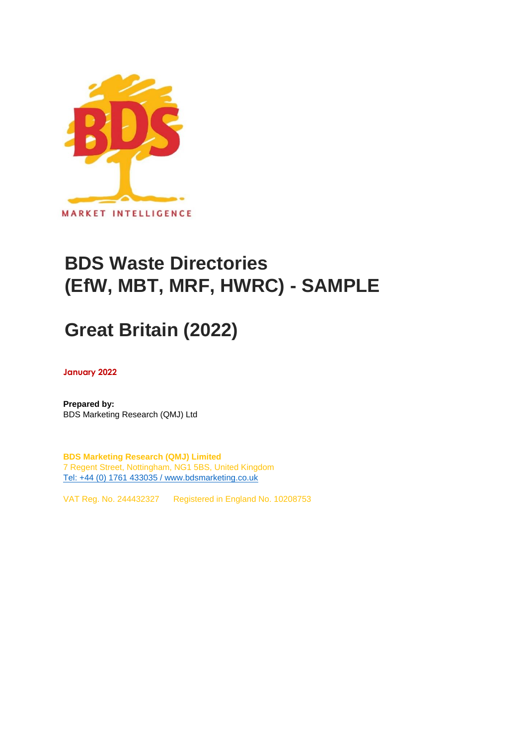

## **BDS Waste Directories (EfW, MBT, MRF, HWRC) - SAMPLE**

# **Great Britain (2022)**

**January 2022**

**Prepared by:** BDS Marketing Research (QMJ) Ltd

**BDS Marketing Research (QMJ) Limited** 7 Regent Street, Nottingham, NG1 5BS, United Kingdom [Tel: +44 \(0\) 1761 433035 / www.bdsmarketing.co.uk](http://www.bdsmarketing.co.uk/)

VAT Reg. No. 244432327 Registered in England No. 10208753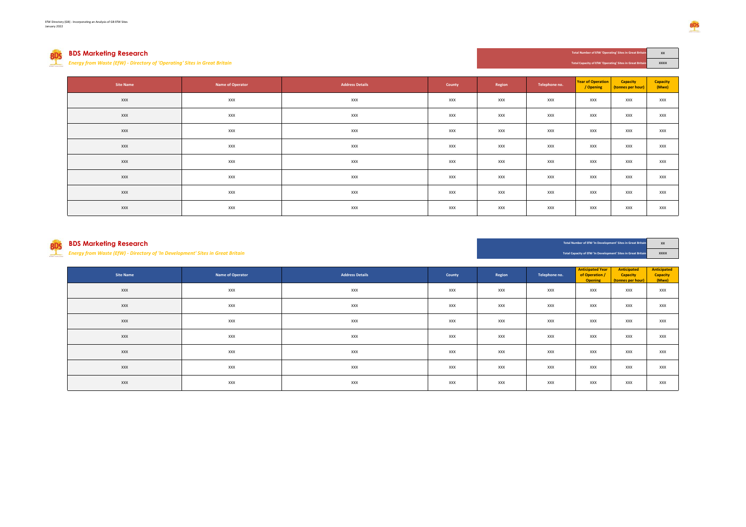## **BDS Marketing Research XX**

*Energy from Waste (EfW) - Directory of 'Operating' Sites in Great Britain* **XXXX**

**BDS** 

| <b>Site Name</b> | Name of Operator | <b>Address Details</b> | County | Region | Telephone no. | <b>Year of Operation</b><br>/ Opening | Capacity<br>(tonnes per hour) | <b>Capacity</b><br>(Mwe) |
|------------------|------------------|------------------------|--------|--------|---------------|---------------------------------------|-------------------------------|--------------------------|
| XXX              | XXX              | XXX                    | XXX    | XXX    | XXX           | XXX                                   | <b>XXX</b>                    | XXX                      |
| XXX              | XXX              | XXX                    | XXX    | XXX    | <b>XXX</b>    | XXX                                   | XXX                           | XXX                      |
| XXX              | XXX              | XXX                    | XXX    | XXX    | <b>XXX</b>    | XXX                                   | XXX                           | XXX                      |
| XXX              | XXX              | XXX                    | XXX    | XXX    | XXX           | XXX                                   | XXX                           | XXX                      |
| XXX              | XXX              | XXX                    | XXX    | XXX    | XXX           | XXX                                   | <b>XXX</b>                    | XXX                      |
| XXX              | XXX              | XXX                    | XXX    | XXX    | XXX           | XXX                                   | <b>XXX</b>                    | XXX                      |
| XXX              | XXX              | XXX                    | XXX    | XXX    | XXX           | XXX                                   | <b>XXX</b>                    | XXX                      |
| XXX              | XXX              | XXX                    | XXX    | XXX    | <b>XXX</b>    | XXX                                   | XXX                           | XXX                      |

*Energy from Waste (EfW) - Directory of 'In Development' Sites in Great Britain* **XXXX**

**BDS Marketing Research XX** Total Number of ENV In Development' Sites in Great Britain **XX Total Number of EfW 'In Development' Sites in Great Britain**

**Total Capacity of EfW 'In Development' Sites in Great Britain**

**Total Capacity of EfW 'Opera** 

| <b>Site Name</b> | Name of Operator | <b>Address Details</b> | County | Region | Telephone no. | <b>Anticipated Year</b><br>of Operation /<br><b>Opening</b> | Anticipated<br>Capacity<br>(tonnes per hour) | Anticipated<br>Capacity<br>(Mwe) |
|------------------|------------------|------------------------|--------|--------|---------------|-------------------------------------------------------------|----------------------------------------------|----------------------------------|
| <b>XXX</b>       | XXX              | XXX                    | XXX    | XXX    | XXX           | XXX                                                         | XXX                                          | XXX                              |
| XXX              | XXX              | XXX                    | XXX    | XXX    | XXX           | XXX                                                         | XXX                                          | XXX                              |
| XXX              | XXX              | XXX                    | XXX    | XXX    | XXX           | XXX                                                         | XXX                                          | XXX                              |
| XXX              | XXX              | XXX                    | XXX    | XXX    | XXX           | XXX                                                         | XXX                                          | <b>XXX</b>                       |
| <b>XXX</b>       | <b>XXX</b>       | XXX                    | XXX    | XXX    | XXX           | XXX                                                         | XXX                                          | XXX                              |
| <b>XXX</b>       | XXX              | XXX                    | XXX    | XXX    | XXX           | XXX                                                         | XXX                                          | XXX                              |
| XXX              | XXX              | XXX                    | XXX    | XXX    | XXX           | XXX                                                         | XXX                                          | XXX                              |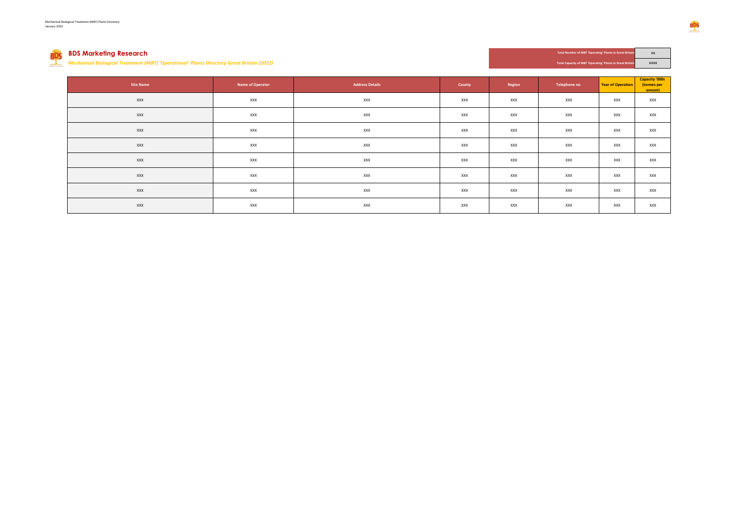## BDS **BDS Marketing Research XX** Total Number of MBT Operating Plants in Great Britain XX

*Mechanical Biological Treatment (MBT) 'Operational' Plants Directory Great Britain (2022)* **XXXX** *XXXX XXXX Total Capacity of MBT* (*XXXX XXXX XXXX XXXX XXXX XXXX XXXX XXXX XXXX XXXX XXXX XXXX*

| Total Number of MBT 'Operating' Plants in Great Britain |  |
|---------------------------------------------------------|--|
|                                                         |  |

| Total Capacity of MBT 'Operating' Plants in Great Britain |  |
|-----------------------------------------------------------|--|
|                                                           |  |

| <b>Site Name</b> | Name of Operator | <b>Address Details</b> | County | Region | Telephone no. | <b>Year of Operation</b> | <b>Capacity '000s</b><br>(tonnes per<br>annum) |
|------------------|------------------|------------------------|--------|--------|---------------|--------------------------|------------------------------------------------|
| XXX              | XXX              | XXX                    | XXX    | XXX    | <b>XXX</b>    | XXX                      | <b>XXX</b>                                     |
| XXX              | XXX              | XXX                    | XXX    | XXX    | <b>XXX</b>    | XXX                      | <b>XXX</b>                                     |
| XXX              | XXX              | XXX                    | XXX    | XXX    | <b>XXX</b>    | XXX                      | <b>XXX</b>                                     |
| XXX              | XXX              | XXX                    | XXX    | XXX    | <b>XXX</b>    | XXX                      | <b>XXX</b>                                     |
| XXX              | XXX              | XXX                    | XXX    | XXX    | <b>XXX</b>    | XXX                      | <b>XXX</b>                                     |
| XXX              | XXX              | XXX                    | XXX    | XXX    | XXX           | XXX                      | <b>XXX</b>                                     |
| XXX              | XXX              | XXX                    | XXX    | XXX    | <b>XXX</b>    | XXX                      | <b>XXX</b>                                     |
| XXX              | XXX              | XXX                    | XXX    | XXX    | XXX           | XXX                      | <b>XXX</b>                                     |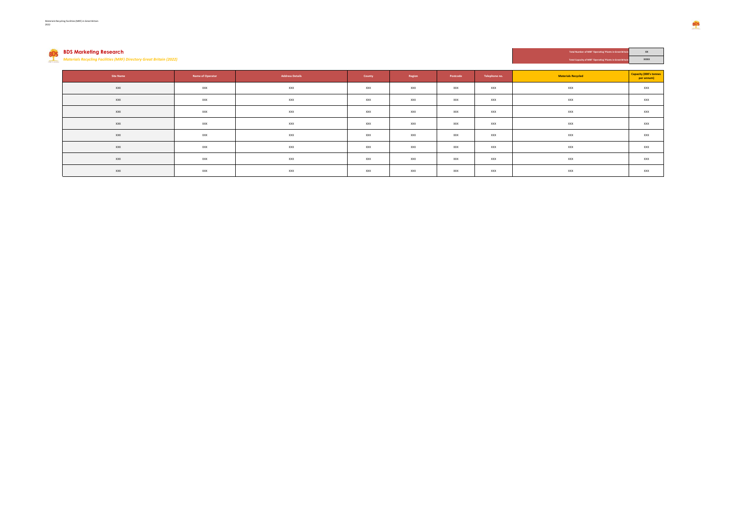*Materials Recycling Facilities (MRF) Directory Great Britain (2022)* **Total Capacity of MBT 'Operating' Plants in Great Britain XXXX**

**BDS Marketing Research Total Number of MBT 'Operating' Plants in Great Britain and Constants in Case of Plants in Great Britain and Constants in the Constant Britain and Constants in the Constant Britain and Constants i** 

| Site Name | Name of Operator | <b>Address Details</b> | County | Region | Postcode   | Telephone no. | <b>Materials Recycled</b> | <b>Capacity (000's tonnes</b><br>per annum) |
|-----------|------------------|------------------------|--------|--------|------------|---------------|---------------------------|---------------------------------------------|
| XXX       | XXX              | XXX                    | XXX    | XXX    | XXX        | XXX           | XXX                       | XXX                                         |
| XXX       | XXX              | XXX                    | XXX    | XXX    | XXX        | XXX           | XXX                       | <b>XXX</b>                                  |
| XXX       | XXX              | XXX                    | XXX    | XXX    | <b>XXX</b> | XXX           | XXX                       | <b>XXX</b>                                  |
| XXX       | XXX              | XXX                    | XXX    | XXX    | XXX        | XXX           | XXX                       | XXX                                         |
| XXX       | XXX              | XXX                    | XXX    | XXX    | XXX        | XXX           | XXX                       | XXX                                         |
| XXX       | XXX              | XXX                    | XXX    | XXX    | XXX        | XXX           | XXX                       | XXX                                         |
| XXX       | XXX              | XXX                    | XXX    | XXX    | XXX        | XXX           | XXX                       | XXX                                         |
| XXX       | XXX              | XXX                    | XXX    | XXX    | XXX        | XXX           | XXX                       | XXX                                         |